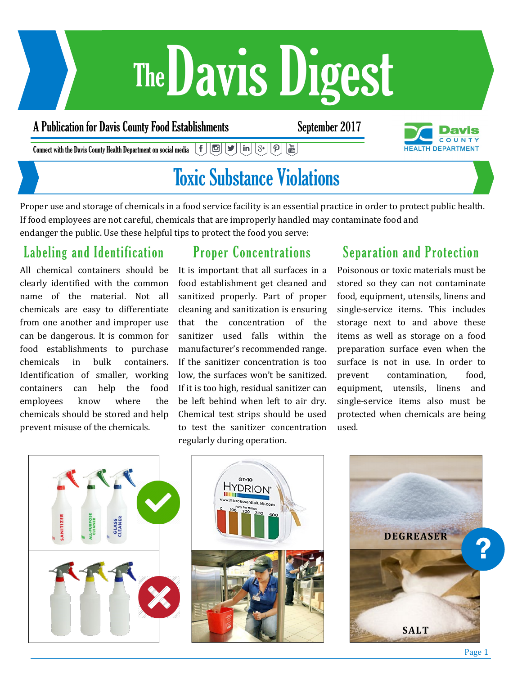# Davis Digest The

#### A Publication for Davis County Food Establishments September 2017



 $\mid \mathbf{f} \mid$   $\mid$   $\mathbf{E} \mid$   $\mid$   $\mathbf{S} \mid$   $\mid$   $\mid$   $\mathbf{S} \mid$  $\left[\bm{\mathsf{p}}\right]\left[\begin{smallmatrix}\mathsf{v}_\mathsf{m} \\ \mathsf{m}\end{smallmatrix}\right]$ Connect with the Davis County Health Department on social media

### Toxic Substance Violations

Proper use and storage of chemicals in a food service facility is an essential practice in order to protect public health. If food employees are not careful, chemicals that are improperly handled may contaminate food and endanger the public. Use these helpful tips to protect the food you serve:

### Labeling and Identification

All chemical containers should be clearly identified with the common name of the material. Not all chemicals are easy to differentiate from one another and improper use can be dangerous. It is common for food establishments to purchase chemicals in bulk containers. Identification of smaller, working containers can help the food employees know where the chemicals should be stored and help prevent misuse of the chemicals.

#### Proper Concentrations

It is important that all surfaces in a food establishment get cleaned and sanitized properly. Part of proper cleaning and sanitization is ensuring that the concentration of the sanitizer used falls within the manufacturer's recommended range. If the sanitizer concentration is too low, the surfaces won't be sanitized. If it is too high, residual sanitizer can be left behind when left to air dry. Chemical test strips should be used to test the sanitizer concentration regularly during operation.

#### Separation and Protection

Poisonous or toxic materials must be stored so they can not contaminate food, equipment, utensils, linens and single-service items. This includes storage next to and above these items as well as storage on a food preparation surface even when the surface is not in use. In order to prevent contamination, food, equipment, utensils, linens and single-service items also must be protected when chemicals are being used.